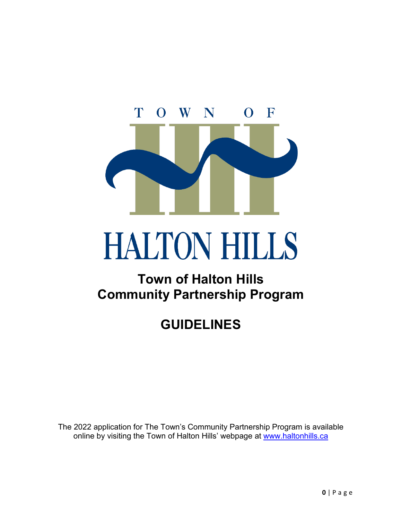

# HALTON **HILLS**

# **Town of Halton Hills Community Partnership Program**

# **GUIDELINES**

online by visiting the Town of Halton Hills' webpage at <u>www.haltonhills.ca</u> The 2022 application for The Town's Community Partnership Program is available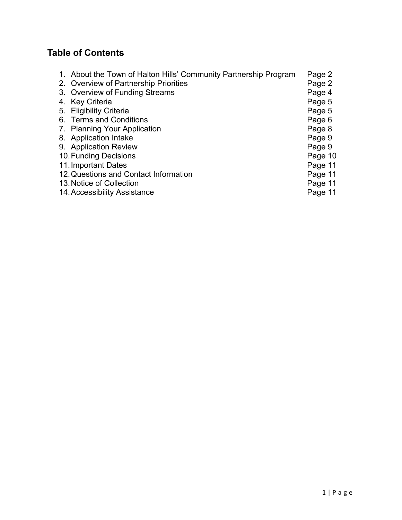# **Table of Contents**

| 1. About the Town of Halton Hills' Community Partnership Program | Page 2  |
|------------------------------------------------------------------|---------|
| 2. Overview of Partnership Priorities                            | Page 2  |
| 3. Overview of Funding Streams                                   | Page 4  |
| 4. Key Criteria                                                  | Page 5  |
| 5. Eligibility Criteria                                          | Page 5  |
| 6. Terms and Conditions                                          | Page 6  |
| 7. Planning Your Application                                     | Page 8  |
| 8. Application Intake                                            | Page 9  |
| 9. Application Review                                            | Page 9  |
| 10. Funding Decisions                                            | Page 10 |
| 11. Important Dates                                              | Page 11 |
| 12. Questions and Contact Information                            | Page 11 |
| 13. Notice of Collection                                         | Page 11 |
| 14. Accessibility Assistance                                     | Page 11 |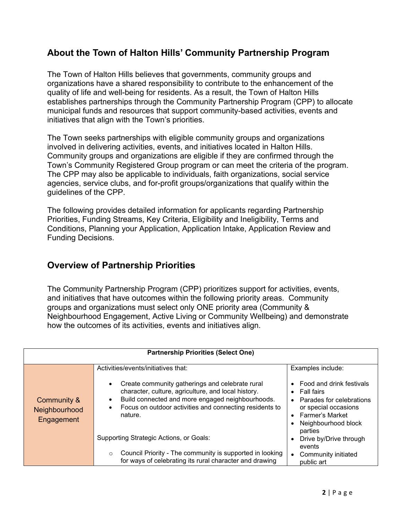#### **About the Town of Halton Hills' Community Partnership Program**

 quality of life and well-being for residents. As a result, the Town of Halton Hills municipal funds and resources that support community-based activities, events and initiatives that align with the Town's priorities. The Town of Halton Hills believes that governments, community groups and organizations have a shared responsibility to contribute to the enhancement of the establishes partnerships through the Community Partnership Program (CPP) to allocate

The Town seeks partnerships with eligible community groups and organizations involved in delivering activities, events, and initiatives located in Halton Hills. Community groups and organizations are eligible if they are confirmed through the Town's Community Registered Group program or can meet the criteria of the program. The CPP may also be applicable to individuals, faith organizations, social service agencies, service clubs, and for-profit groups/organizations that qualify within the guidelines of the CPP.

The following provides detailed information for applicants regarding Partnership Priorities, Funding Streams, Key Criteria, Eligibility and Ineligibility, Terms and Conditions, Planning your Application, Application Intake, Application Review and Funding Decisions.

#### **Overview of Partnership Priorities**

 Neighbourhood Engagement, Active Living or Community Wellbeing) and demonstrate how the outcomes of its activities, events and initiatives align. The Community Partnership Program (CPP) prioritizes support for activities, events, and initiatives that have outcomes within the following priority areas. Community groups and organizations must select only ONE priority area (Community &

| <b>Partnership Priorities (Select One)</b> |                                                                                                                                                                                                                                                                                                                                      |                                                                                                                                                                                                                                                               |  |  |
|--------------------------------------------|--------------------------------------------------------------------------------------------------------------------------------------------------------------------------------------------------------------------------------------------------------------------------------------------------------------------------------------|---------------------------------------------------------------------------------------------------------------------------------------------------------------------------------------------------------------------------------------------------------------|--|--|
| Community &<br>Neighbourhood<br>Engagement | Activities/events/initiatives that:<br>Create community gatherings and celebrate rural<br>character, culture, agriculture, and local history.<br>Build connected and more engaged neighbourhoods.<br>$\bullet$<br>Focus on outdoor activities and connecting residents to<br>٠<br>nature.<br>Supporting Strategic Actions, or Goals: | Examples include:<br>Food and drink festivals<br><b>Fall fairs</b><br>$\bullet$<br>Parades for celebrations<br>$\bullet$<br>or special occasions<br><b>Farmer's Market</b><br>$\bullet$<br>Neighbourhood block<br>parties<br>Drive by/Drive through<br>events |  |  |
|                                            | Council Priority - The community is supported in looking<br>$\circ$<br>for ways of celebrating its rural character and drawing                                                                                                                                                                                                       | Community initiated<br>public art                                                                                                                                                                                                                             |  |  |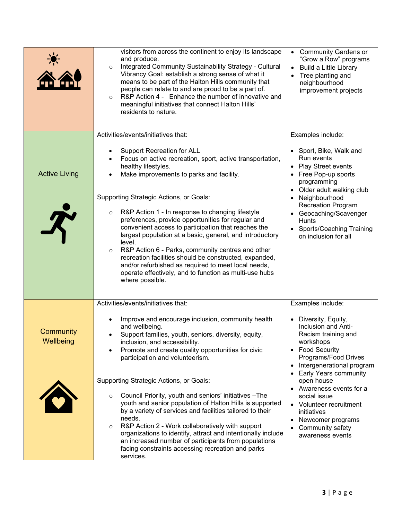|                        | visitors from across the continent to enjoy its landscape<br>and produce.<br>Integrated Community Sustainability Strategy - Cultural<br>$\circ$<br>Vibrancy Goal: establish a strong sense of what it<br>means to be part of the Halton Hills community that<br>people can relate to and are proud to be a part of.<br>R&P Action 4 - Enhance the number of innovative and<br>$\circ$<br>meaningful initiatives that connect Halton Hills'<br>residents to nature.                                                                                      | • Community Gardens or<br>"Grow a Row" programs<br><b>Build a Little Library</b><br>$\bullet$<br>Tree planting and<br>neighbourhood<br>improvement projects                                                                                |
|------------------------|---------------------------------------------------------------------------------------------------------------------------------------------------------------------------------------------------------------------------------------------------------------------------------------------------------------------------------------------------------------------------------------------------------------------------------------------------------------------------------------------------------------------------------------------------------|--------------------------------------------------------------------------------------------------------------------------------------------------------------------------------------------------------------------------------------------|
| <b>Active Living</b>   | Activities/events/initiatives that:<br><b>Support Recreation for ALL</b><br>Focus on active recreation, sport, active transportation,<br>healthy lifestyles.<br>Make improvements to parks and facility.                                                                                                                                                                                                                                                                                                                                                | Examples include:<br>• Sport, Bike, Walk and<br>Run events<br>Play Street events<br>$\bullet$<br>Free Pop-up sports                                                                                                                        |
|                        | Supporting Strategic Actions, or Goals:<br>R&P Action 1 - In response to changing lifestyle<br>$\circ$<br>preferences, provide opportunities for regular and<br>convenient access to participation that reaches the<br>largest population at a basic, general, and introductory<br>level.<br>R&P Action 6 - Parks, community centres and other<br>$\circ$<br>recreation facilities should be constructed, expanded,<br>and/or refurbished as required to meet local needs,<br>operate effectively, and to function as multi-use hubs<br>where possible. | programming<br>Older adult walking club<br>$\bullet$<br>Neighbourhood<br>$\bullet$<br><b>Recreation Program</b><br>Geocaching/Scavenger<br><b>Hunts</b><br><b>Sports/Coaching Training</b><br>on inclusion for all                         |
| Community<br>Wellbeing | Activities/events/initiatives that:<br>Improve and encourage inclusion, community health<br>$\bullet$<br>and wellbeing.<br>Support families, youth, seniors, diversity, equity,<br>$\bullet$<br>inclusion, and accessibility.<br>Promote and create quality opportunities for civic<br>٠<br>participation and volunteerism.                                                                                                                                                                                                                             | Examples include:<br>Diversity, Equity,<br>$\bullet$<br>Inclusion and Anti-<br>Racism training and<br>workshops<br>• Food Security<br>Programs/Food Drives<br>Intergenerational program<br>$\bullet$<br>Early Years community<br>$\bullet$ |
|                        | Supporting Strategic Actions, or Goals:<br>Council Priority, youth and seniors' initiatives - The<br>$\circ$<br>youth and senior population of Halton Hills is supported<br>by a variety of services and facilities tailored to their<br>needs.<br>R&P Action 2 - Work collaboratively with support<br>$\circ$<br>organizations to identify, attract and intentionally include<br>an increased number of participants from populations<br>facing constraints accessing recreation and parks<br>services.                                                | open house<br>Awareness events for a<br>$\bullet$<br>social issue<br>Volunteer recruitment<br>$\bullet$<br>initiatives<br>Newcomer programs<br>$\bullet$<br>Community safety<br>$\bullet$<br>awareness events                              |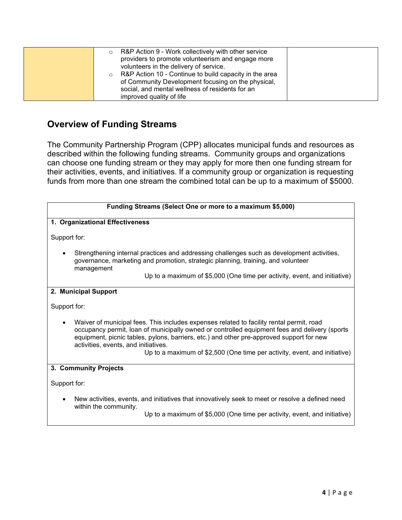| R&P Action 9 - Work collectively with other service<br>O<br>providers to promote volunteerism and engage more<br>volunteers in the delivery of service.<br>R&P Action 10 - Continue to build capacity in the area<br>of Community Development focusing on the physical,<br>social, and mental wellness of residents for an<br>improved quality of life |  |
|--------------------------------------------------------------------------------------------------------------------------------------------------------------------------------------------------------------------------------------------------------------------------------------------------------------------------------------------------------|--|
|--------------------------------------------------------------------------------------------------------------------------------------------------------------------------------------------------------------------------------------------------------------------------------------------------------------------------------------------------------|--|

#### **Overview of Funding Streams**

The Community Partnership Program (CPP) allocates municipal funds and resources as described within the following funding streams. Community groups and organizations can choose one funding stream or they may apply for more then one funding stream for their activities, events, and initiatives. If a community group or organization is requesting funds from more than one stream the combined total can be up to a maximum of \$5000.

|              | Funding Streams (Select One or more to a maximum \$5,000)                                                                                                                                                                                                                                                                                                                                                  |  |  |
|--------------|------------------------------------------------------------------------------------------------------------------------------------------------------------------------------------------------------------------------------------------------------------------------------------------------------------------------------------------------------------------------------------------------------------|--|--|
|              | 1. Organizational Effectiveness                                                                                                                                                                                                                                                                                                                                                                            |  |  |
| Support for: |                                                                                                                                                                                                                                                                                                                                                                                                            |  |  |
| $\bullet$    | Strengthening internal practices and addressing challenges such as development activities,<br>governance, marketing and promotion, strategic planning, training, and volunteer<br>management<br>Up to a maximum of \$5,000 (One time per activity, event, and initiative)                                                                                                                                  |  |  |
|              | 2. Municipal Support                                                                                                                                                                                                                                                                                                                                                                                       |  |  |
| Support for: |                                                                                                                                                                                                                                                                                                                                                                                                            |  |  |
| $\bullet$    | Waiver of municipal fees. This includes expenses related to facility rental permit, road<br>occupancy permit, loan of municipally owned or controlled equipment fees and delivery (sports<br>equipment, picnic tables, pylons, barriers, etc.) and other pre-approved support for new<br>activities, events, and initiatives.<br>Up to a maximum of \$2,500 (One time per activity, event, and initiative) |  |  |
|              | 3. Community Projects                                                                                                                                                                                                                                                                                                                                                                                      |  |  |
| Support for: |                                                                                                                                                                                                                                                                                                                                                                                                            |  |  |
| $\bullet$    | New activities, events, and initiatives that innovatively seek to meet or resolve a defined need<br>within the community.<br>Up to a maximum of \$5,000 (One time per activity, event, and initiative)                                                                                                                                                                                                     |  |  |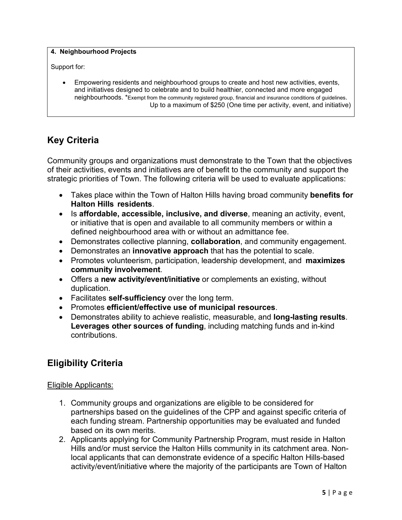#### **4. Neighbourhood Projects**

Support for:

 • Empowering residents and neighbourhood groups to create and host new activities, events, neighbourhoods. \*Exempt from the community registered group, financial and insurance conditions of guidelines. and initiatives designed to celebrate and to build healthier, connected and more engaged Up to a maximum of \$250 (One time per activity, event, and initiative)

#### **Key Criteria**

 Community groups and organizations must demonstrate to the Town that the objectives of their activities, events and initiatives are of benefit to the community and support the strategic priorities of Town. The following criteria will be used to evaluate applications:

- • Takes place within the Town of Halton Hills having broad community **benefits for Halton Hills residents**.
- Is **affordable, accessible, inclusive, and diverse**, meaning an activity, event, or initiative that is open and available to all community members or within a defined neighbourhood area with or without an admittance fee.
- Demonstrates collective planning, **collaboration**, and community engagement.
- Demonstrates an **innovative approach** that has the potential to scale.
- • Promotes volunteerism, participation, leadership development, and **maximizes community involvement**.
- • Offers a **new activity/event/initiative** or complements an existing, without duplication.
- Facilitates **self-sufficiency** over the long term.
- Promotes **efficient/effective use of municipal resources**.
- • Demonstrates ability to achieve realistic, measurable, and **long-lasting results**.  **Leverages other sources of funding**, including matching funds and in-kind contributions.

#### **Eligibility Criteria**

#### Eligible Applicants:

- 1. Community groups and organizations are eligible to be considered for partnerships based on the guidelines of the CPP and against specific criteria of each funding stream. Partnership opportunities may be evaluated and funded based on its own merits.
- 2. Applicants applying for Community Partnership Program, must reside in Halton Hills and/or must service the Halton Hills community in its catchment area. Nonlocal applicants that can demonstrate evidence of a specific Halton Hills-based activity/event/initiative where the majority of the participants are Town of Halton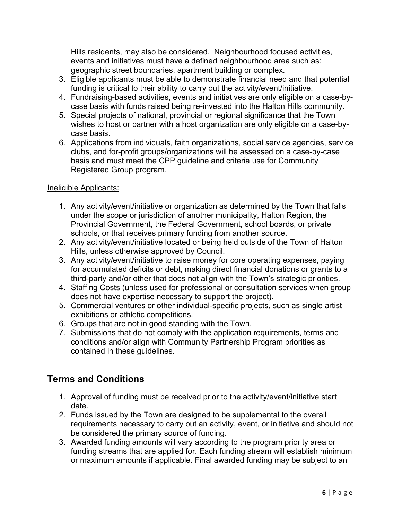Hills residents, may also be considered. Neighbourhood focused activities, events and initiatives must have a defined neighbourhood area such as: geographic street boundaries, apartment building or complex.

- 3. Eligible applicants must be able to demonstrate financial need and that potential funding is critical to their ability to carry out the activity/event/initiative.
- 4. Fundraising-based activities, events and initiatives are only eligible on a case-bycase basis with funds raised being re-invested into the Halton Hills community.
- 5. Special projects of national, provincial or regional significance that the Town wishes to host or partner with a host organization are only eligible on a case-bycase basis.
- 6. Applications from individuals, faith organizations, social service agencies, service clubs, and for-profit groups/organizations will be assessed on a case-by-case basis and must meet the CPP guideline and criteria use for Community Registered Group program.

#### Ineligible Applicants:

- 1. Any activity/event/initiative or organization as determined by the Town that falls under the scope or jurisdiction of another municipality, Halton Region, the Provincial Government, the Federal Government, school boards, or private schools, or that receives primary funding from another source.
- 2. Any activity/event/initiative located or being held outside of the Town of Halton Hills, unless otherwise approved by Council.
- 3. Any activity/event/initiative to raise money for core operating expenses, paying for accumulated deficits or debt, making direct financial donations or grants to a third-party and/or other that does not align with the Town's strategic priorities.
- 4. Staffing Costs (unless used for professional or consultation services when group does not have expertise necessary to support the project).
- 5. Commercial ventures or other individual-specific projects, such as single artist exhibitions or athletic competitions.
- 6. Groups that are not in good standing with the Town.
- 7. Submissions that do not comply with the application requirements, terms and conditions and/or align with Community Partnership Program priorities as contained in these guidelines.

# **Terms and Conditions**

- 1. Approval of funding must be received prior to the activity/event/initiative start date.
- 2. Funds issued by the Town are designed to be supplemental to the overall requirements necessary to carry out an activity, event, or initiative and should not be considered the primary source of funding.
- 3. Awarded funding amounts will vary according to the program priority area or funding streams that are applied for. Each funding stream will establish minimum or maximum amounts if applicable. Final awarded funding may be subject to an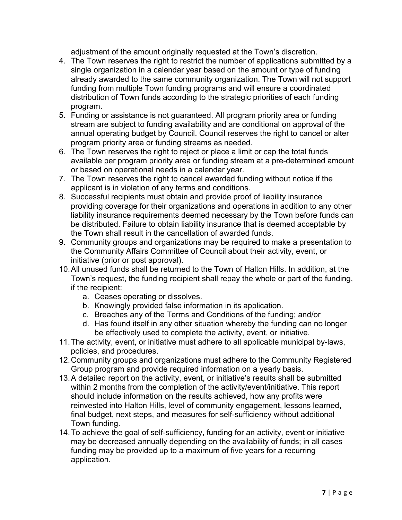adjustment of the amount originally requested at the Town's discretion.

- 4. The Town reserves the right to restrict the number of applications submitted by a distribution of Town funds according to the strategic priorities of each funding single organization in a calendar year based on the amount or type of funding already awarded to the same community organization. The Town will not support funding from multiple Town funding programs and will ensure a coordinated program.
- 5. Funding or assistance is not guaranteed. All program priority area or funding stream are subject to funding availability and are conditional on approval of the annual operating budget by Council. Council reserves the right to cancel or alter program priority area or funding streams as needed.
- 6. The Town reserves the right to reject or place a limit or cap the total funds available per program priority area or funding stream at a pre-determined amount or based on operational needs in a calendar year.
- 7. The Town reserves the right to cancel awarded funding without notice if the applicant is in violation of any terms and conditions.
- 8. Successful recipients must obtain and provide proof of liability insurance providing coverage for their organizations and operations in addition to any other liability insurance requirements deemed necessary by the Town before funds can be distributed. Failure to obtain liability insurance that is deemed acceptable by the Town shall result in the cancellation of awarded funds.
- 9. Community groups and organizations may be required to make a presentation to the Community Affairs Committee of Council about their activity, event, or initiative (prior or post approval).
- Town's request, the funding recipient shall repay the whole or part of the funding, 10.All unused funds shall be returned to the Town of Halton Hills. In addition, at the if the recipient:
	- a. Ceases operating or dissolves.
	- b. Knowingly provided false information in its application.
	- c. Breaches any of the Terms and Conditions of the funding; and/or
	- be effectively used to complete the activity, event, or initiative. d. Has found itself in any other situation whereby the funding can no longer
- 11.The activity, event, or initiative must adhere to all applicable municipal by-laws, policies, and procedures.
- 12.Community groups and organizations must adhere to the Community Registered Group program and provide required information on a yearly basis.
- 13.A detailed report on the activity, event, or initiative's results shall be submitted within 2 months from the completion of the activity/event/initiative. This report should include information on the results achieved, how any profits were reinvested into Halton Hills, level of community engagement, lessons learned, final budget, next steps, and measures for self-sufficiency without additional Town funding.
- 14.To achieve the goal of self-sufficiency, funding for an activity, event or initiative may be decreased annually depending on the availability of funds; in all cases funding may be provided up to a maximum of five years for a recurring application.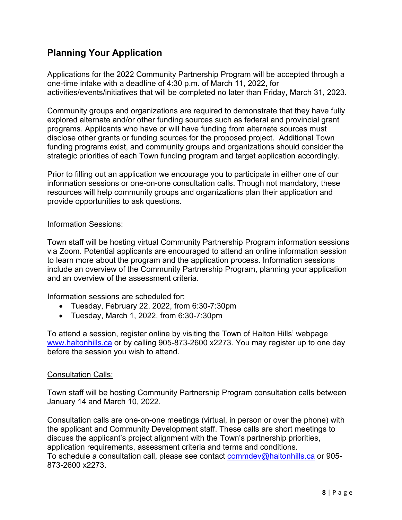## **Planning Your Application**

 one-time intake with a deadline of 4:30 p.m. of March 11, 2022, for activities/events/initiatives that will be completed no later than Friday, March 31, 2023. Applications for the 2022 Community Partnership Program will be accepted through a

 Community groups and organizations are required to demonstrate that they have fully programs. Applicants who have or will have funding from alternate sources must disclose other grants or funding sources for the proposed project. Additional Town strategic priorities of each Town funding program and target application accordingly. explored alternate and/or other funding sources such as federal and provincial grant funding programs exist, and community groups and organizations should consider the

 information sessions or one-on-one consultation calls. Though not mandatory, these Prior to filling out an application we encourage you to participate in either one of our resources will help community groups and organizations plan their application and provide opportunities to ask questions.

#### Information Sessions:

 via Zoom. Potential applicants are encouraged to attend an online information session Town staff will be hosting virtual Community Partnership Program information sessions to learn more about the program and the application process. Information sessions include an overview of the Community Partnership Program, planning your application and an overview of the assessment criteria.

Information sessions are scheduled for:

- Tuesday, February 22, 2022, from 6:30-7:30pm
- Tuesday, March 1, 2022, from 6:30-7:30pm

To attend a session, register online by visiting the Town of Halton Hills' webpage [www.haltonhills.ca](http://www.haltonhills.ca/) or by calling 905-873-2600 x2273. You may register up to one day before the session you wish to attend.

#### Consultation Calls:

 Town staff will be hosting Community Partnership Program consultation calls between January 14 and March 10, 2022.

 discuss the applicant's project alignment with the Town's partnership priorities, application requirements, assessment criteria and terms and conditions. Consultation calls are one-on-one meetings (virtual, in person or over the phone) with the applicant and Community Development staff. These calls are short meetings to To schedule a consultation call, please see contact commdev@haltonhills. ca or 905-873-2600 x2273.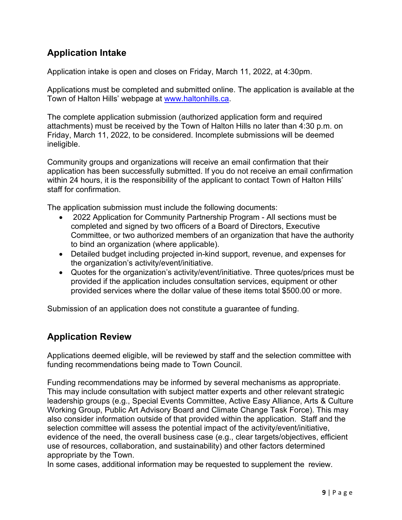# **Application Intake**

Application intake is open and closes on Friday, March 11, 2022, at 4:30pm.

Applications must be completed and submitted online. The application is available at the Town of Halton Hills' webpage at [www.haltonhills.ca.](http://www.haltonhills.ca/)

 Friday, March 11, 2022, to be considered. Incomplete submissions will be deemed The complete application submission (authorized application form and required attachments) must be received by the Town of Halton Hills no later than 4:30 p.m. on ineligible.

 Community groups and organizations will receive an email confirmation that their application has been successfully submitted. If you do not receive an email confirmation within 24 hours, it is the responsibility of the applicant to contact Town of Halton Hills' staff for confirmation.

The application submission must include the following documents:

- completed and signed by two officers of a Board of Directors, Executive • 2022 Application for Community Partnership Program - All sections must be Committee, or two authorized members of an organization that have the authority to bind an organization (where applicable).
- Detailed budget including projected in-kind support, revenue, and expenses for the organization's activity/event/initiative.
- • Quotes for the organization's activity/event/initiative. Three quotes/prices must be provided if the application includes consultation services, equipment or other provided services where the dollar value of these items total \$500.00 or more.

Submission of an application does not constitute a guarantee of funding.

#### **Application Review**

Applications deemed eligible, will be reviewed by staff and the selection committee with funding recommendations being made to Town Council.

 This may include consultation with subject matter experts and other relevant strategic also consider information outside of that provided within the application. Staff and the evidence of the need, the overall business case (e.g., clear targets/objectives, efficient Funding recommendations may be informed by several mechanisms as appropriate. leadership groups (e.g., Special Events Committee, Active Easy Alliance, Arts & Culture Working Group, Public Art Advisory Board and Climate Change Task Force). This may selection committee will assess the potential impact of the activity/event/initiative, use of resources, collaboration, and sustainability) and other factors determined appropriate by the Town.

In some cases, additional information may be requested to supplement the review.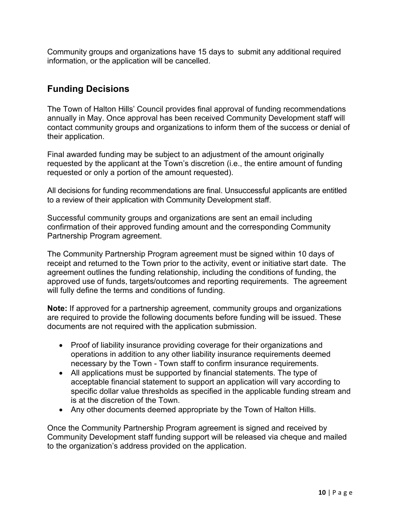Community groups and organizations have 15 days to submit any additional required information, or the application will be cancelled.

## **Funding Decisions**

 contact community groups and organizations to inform them of the success or denial of their application. The Town of Halton Hills' Council provides final approval of funding recommendations annually in May. Once approval has been received Community Development staff will

 requested or only a portion of the amount requested). Final awarded funding may be subject to an adjustment of the amount originally requested by the applicant at the Town's discretion (i.e., the entire amount of funding

 to a review of their application with Community Development staff. All decisions for funding recommendations are final. Unsuccessful applicants are entitled

Partnership Program agreement. Successful community groups and organizations are sent an email including confirmation of their approved funding amount and the corresponding Community

Partnership Program agreement.<br>The Community Partnership Program agreement must be signed within 10 days of receipt and returned to the Town prior to the activity, event or initiative start date. The agreement outlines the funding relationship, including the conditions of funding, the approved use of funds, targets/outcomes and reporting requirements. The agreement will fully define the terms and conditions of funding.

 **Note:** If approved for a partnership agreement, community groups and organizations are required to provide the following documents before funding will be issued. These documents are not required with the application submission.

- necessary by the Town Town staff to confirm insurance requirements. • Proof of liability insurance providing coverage for their organizations and operations in addition to any other liability insurance requirements deemed
- All applications must be supported by financial statements. The type of acceptable financial statement to support an application will vary according to specific dollar value thresholds as specified in the applicable funding stream and is at the discretion of the Town.
- Any other documents deemed appropriate by the Town of Halton Hills.

 Once the Community Partnership Program agreement is signed and received by Community Development staff funding support will be released via cheque and mailed to the organization's address provided on the application.